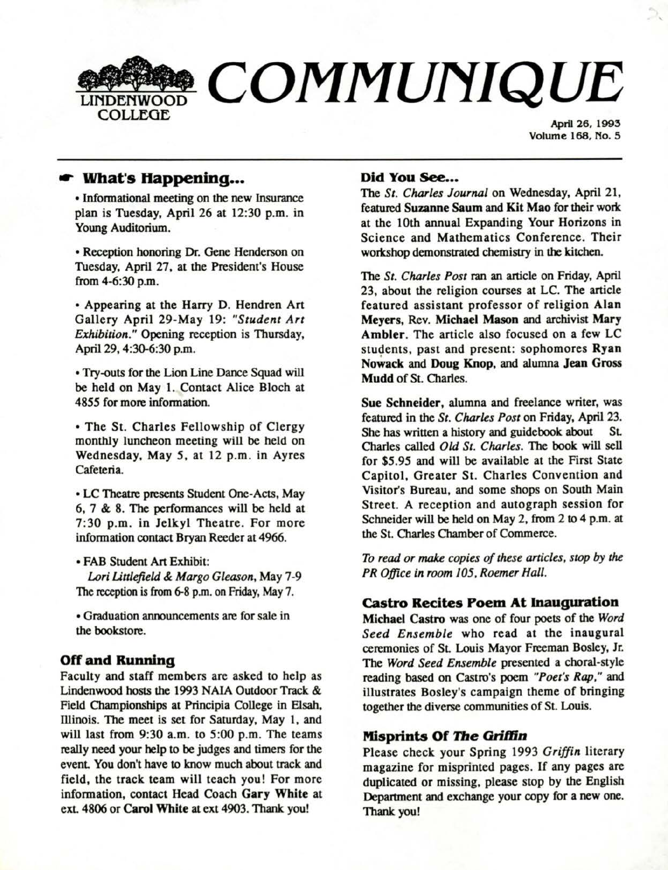

April 26, 1995 Volume 168, No. 5

# ..- **What's Happening •••**

• Informational meeting on the new Insurance plan is Tuesday, April 26 at 12:30 p.m. in Young Auditorium.

• Reception honoring Dr. Gene Henderson on Tuesday, April 27, at the President's House from 4-6:30 p.m.

• Appearing at the Harry D. Hendren Art Gallery April 29-May 19: *"Student Art Exhibition."* Opening reception is Thursday, April 29, 4:30-6:30 p.m.

• Try-outs for the Lion Line Dance Squad will be held on May 1. Contact Alice Bloch at 48S5 for more information.

• The St. Charles Fellowship of Clergy monthly luncheon meeting will be held on Wednesday, May *S,* at 12 p.m. in Ayres Cafeteria.

• LC Theatre presents Student One-Acts, May 6, 7 & 8. The performances will be held at 7:30 p.m. in Jelkyl Theatre. For more information contact Bryan Reeder at 4966.

• FAB Student Art Exhibit: *Lori Unlejield* &. *Margo Gleason,* May 7-9 The reception is from 6-8 p.m. on Friday, May 7.

• Graduation announcements are for sale in the bookstore.

## **Off and Running**

Faculty and staff members are asked to help as Lindenwood hosts the 1993 NALA Outdoor Track & Field Championships at Principia College in Elsah, lliinois. The meet is set for Saturday, May 1, and will last from 9:30 a.m. to 5:00 p.m. The teams really need your help to be judges and timers for the event. You don't have to know much about track and field, the track team will teach you! For more information, contact Head Coach **Gary White** at ext. 4806 or Carol White at ext 4903. Thank you!

#### **Did You See...**

The *St. Charles Journal* on Wednesday, April 21, featured **Suzanne Saum and Kit Mao** for **their work.**  at the 10th annual Expanding Your Horizons in Science and Mathematics Conference. Their workshop demonstrated chemistry in the kitchen.

The *St. Charles Post* ran an article on Friday, April 23, about the religion courses at LC. The article featured assistant professor of religion **Alan Meyers,** Rev. **Michael Mason** and archivist **Mary Ambler.** The article also focused on a few LC students, past and present: sophomores **Ryan No~ack** and **Doug Knop,** and alumna **Jean Gross Mudd** of St. Charles.

**Sue Schneider,** alumna and freelance writer, was featured in the *St. Charles Post* on Friday, April 23. She has written a history and guidebook about St. Charles called *Old St. Charles.* The **book will** sell for *\$S.9S* and will be available at the First State Capitol, Greater St. Charles Convention and Visitor's Bureau, and some shops on South Main Street. A reception and autograph session for Schneider will be held on May 2, from 2 to 4 p.m. at the St. Olarles Chamber of Commerce.

*To read or make copies of these articles, stop by the PR Office in room 105, Roemer Hall.* 

## **Castro Recites Poem At Inauguration**

**Michael Castro** was one of four poets of the *Word Seed Ensemble* who read at the inaugural ceremonies of St. Louis Mayor Freeman Bosley, Jr. The *Word Seed Ensemble* presented a choral-style reading based on Castro's poem *"Poet's* **Rap,"** and illustrates Bosley's campaign theme of bringing together the diverse communities of St. Louis.

## **Misprints Of The Griffin**

Please check your Spring 1993 *Griffin* literary magazine for misprinted pages. If any pages are duplicated or missing, please stop by the English Department and exchange your copy for a new one. Thank you!